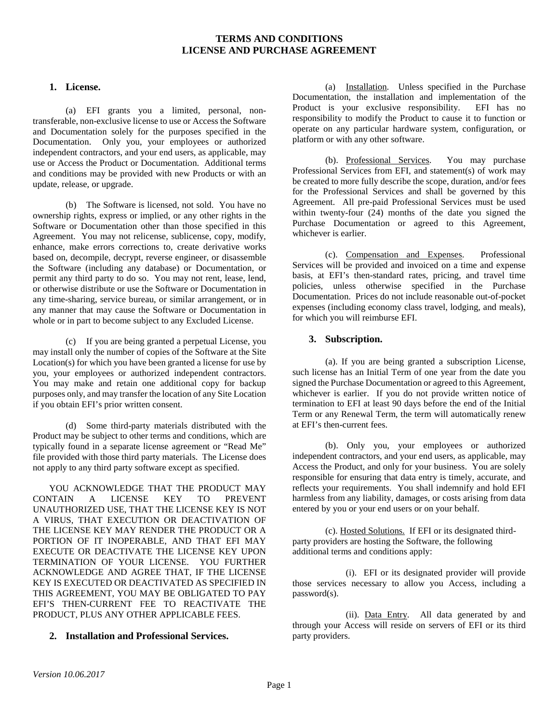# **TERMS AND CONDITIONS LICENSE AND PURCHASE AGREEMENT**

#### **1. License.**

(a) EFI grants you a limited, personal, nontransferable, non-exclusive license to use or Access the Software and Documentation solely for the purposes specified in the Documentation. Only you, your employees or authorized independent contractors, and your end users, as applicable, may use or Access the Product or Documentation. Additional terms and conditions may be provided with new Products or with an update, release, or upgrade.

(b) The Software is licensed, not sold. You have no ownership rights, express or implied, or any other rights in the Software or Documentation other than those specified in this Agreement. You may not relicense, sublicense, copy, modify, enhance, make errors corrections to, create derivative works based on, decompile, decrypt, reverse engineer, or disassemble the Software (including any database) or Documentation, or permit any third party to do so. You may not rent, lease, lend, or otherwise distribute or use the Software or Documentation in any time-sharing, service bureau, or similar arrangement, or in any manner that may cause the Software or Documentation in whole or in part to become subject to any Excluded License.

(c) If you are being granted a perpetual License, you may install only the number of copies of the Software at the Site Location(s) for which you have been granted a license for use by you, your employees or authorized independent contractors. You may make and retain one additional copy for backup purposes only, and may transfer the location of any Site Location if you obtain EFI's prior written consent.

(d) Some third-party materials distributed with the Product may be subject to other terms and conditions, which are typically found in a separate license agreement or "Read Me" file provided with those third party materials. The License does not apply to any third party software except as specified.

YOU ACKNOWLEDGE THAT THE PRODUCT MAY CONTAIN A LICENSE KEY TO PREVENT UNAUTHORIZED USE, THAT THE LICENSE KEY IS NOT A VIRUS, THAT EXECUTION OR DEACTIVATION OF THE LICENSE KEY MAY RENDER THE PRODUCT OR A PORTION OF IT INOPERABLE, AND THAT EFI MAY EXECUTE OR DEACTIVATE THE LICENSE KEY UPON TERMINATION OF YOUR LICENSE. YOU FURTHER ACKNOWLEDGE AND AGREE THAT, IF THE LICENSE KEY IS EXECUTED OR DEACTIVATED AS SPECIFIED IN THIS AGREEMENT, YOU MAY BE OBLIGATED TO PAY EFI'S THEN-CURRENT FEE TO REACTIVATE THE PRODUCT, PLUS ANY OTHER APPLICABLE FEES.

# **2. Installation and Professional Services.**

(a) Installation. Unless specified in the Purchase Documentation, the installation and implementation of the Product is your exclusive responsibility. EFI has no responsibility to modify the Product to cause it to function or operate on any particular hardware system, configuration, or platform or with any other software.

(b). Professional Services. You may purchase Professional Services from EFI, and statement(s) of work may be created to more fully describe the scope, duration, and/or fees for the Professional Services and shall be governed by this Agreement. All pre-paid Professional Services must be used within twenty-four (24) months of the date you signed the Purchase Documentation or agreed to this Agreement, whichever is earlier.

(c). Compensation and Expenses. Professional Services will be provided and invoiced on a time and expense basis, at EFI's then-standard rates, pricing, and travel time policies, unless otherwise specified in the Purchase Documentation. Prices do not include reasonable out-of-pocket expenses (including economy class travel, lodging, and meals), for which you will reimburse EFI.

#### **3. Subscription.**

(a). If you are being granted a subscription License, such license has an Initial Term of one year from the date you signed the Purchase Documentation or agreed to this Agreement, whichever is earlier. If you do not provide written notice of termination to EFI at least 90 days before the end of the Initial Term or any Renewal Term, the term will automatically renew at EFI's then-current fees.

(b). Only you, your employees or authorized independent contractors, and your end users, as applicable, may Access the Product, and only for your business. You are solely responsible for ensuring that data entry is timely, accurate, and reflects your requirements. You shall indemnify and hold EFI harmless from any liability, damages, or costs arising from data entered by you or your end users or on your behalf.

(c). Hosted Solutions. If EFI or its designated thirdparty providers are hosting the Software, the following additional terms and conditions apply:

(i). EFI or its designated provider will provide those services necessary to allow you Access, including a password(s).

(ii). Data Entry. All data generated by and through your Access will reside on servers of EFI or its third party providers.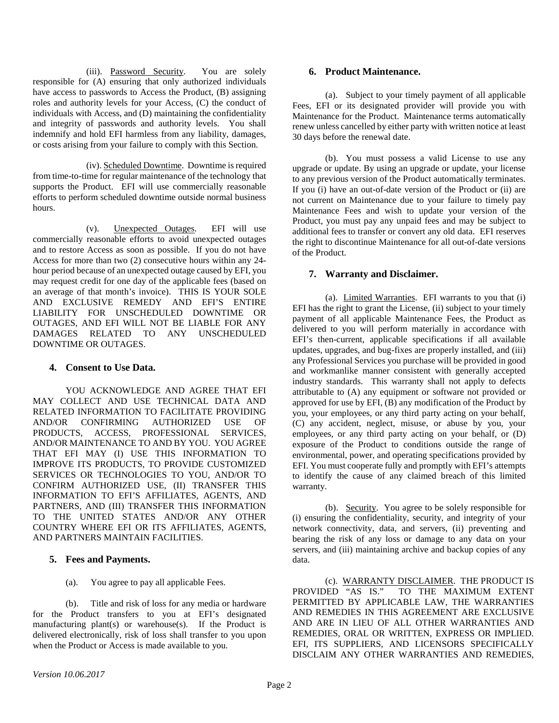(iii). Password Security. You are solely responsible for (A) ensuring that only authorized individuals have access to passwords to Access the Product, (B) assigning roles and authority levels for your Access, (C) the conduct of individuals with Access, and (D) maintaining the confidentiality and integrity of passwords and authority levels. You shall indemnify and hold EFI harmless from any liability, damages, or costs arising from your failure to comply with this Section.

(iv). Scheduled Downtime. Downtime is required from time-to-time for regular maintenance of the technology that supports the Product. EFI will use commercially reasonable efforts to perform scheduled downtime outside normal business hours.

(v). Unexpected Outages. EFI will use commercially reasonable efforts to avoid unexpected outages and to restore Access as soon as possible. If you do not have Access for more than two (2) consecutive hours within any 24 hour period because of an unexpected outage caused by EFI, you may request credit for one day of the applicable fees (based on an average of that month's invoice). THIS IS YOUR SOLE AND EXCLUSIVE REMEDY AND EFI'S ENTIRE LIABILITY FOR UNSCHEDULED DOWNTIME OR OUTAGES, AND EFI WILL NOT BE LIABLE FOR ANY DAMAGES RELATED TO ANY UNSCHEDULED DOWNTIME OR OUTAGES.

# **4. Consent to Use Data.**

YOU ACKNOWLEDGE AND AGREE THAT EFI MAY COLLECT AND USE TECHNICAL DATA AND RELATED INFORMATION TO FACILITATE PROVIDING AND/OR CONFIRMING AUTHORIZED USE OF PRODUCTS, ACCESS, PROFESSIONAL SERVICES, AND/OR MAINTENANCE TO AND BY YOU. YOU AGREE THAT EFI MAY (I) USE THIS INFORMATION TO IMPROVE ITS PRODUCTS, TO PROVIDE CUSTOMIZED SERVICES OR TECHNOLOGIES TO YOU, AND/OR TO CONFIRM AUTHORIZED USE, (II) TRANSFER THIS INFORMATION TO EFI'S AFFILIATES, AGENTS, AND PARTNERS, AND (III) TRANSFER THIS INFORMATION TO THE UNITED STATES AND/OR ANY OTHER COUNTRY WHERE EFI OR ITS AFFILIATES, AGENTS, AND PARTNERS MAINTAIN FACILITIES.

# **5. Fees and Payments.**

(a). You agree to pay all applicable Fees.

(b). Title and risk of loss for any media or hardware for the Product transfers to you at EFI's designated manufacturing plant(s) or warehouse(s). If the Product is delivered electronically, risk of loss shall transfer to you upon when the Product or Access is made available to you.

# **6. Product Maintenance.**

(a). Subject to your timely payment of all applicable Fees, EFI or its designated provider will provide you with Maintenance for the Product. Maintenance terms automatically renew unless cancelled by either party with written notice at least 30 days before the renewal date.

(b). You must possess a valid License to use any upgrade or update. By using an upgrade or update, your license to any previous version of the Product automatically terminates. If you (i) have an out-of-date version of the Product or (ii) are not current on Maintenance due to your failure to timely pay Maintenance Fees and wish to update your version of the Product, you must pay any unpaid fees and may be subject to additional fees to transfer or convert any old data. EFI reserves the right to discontinue Maintenance for all out-of-date versions of the Product.

# **7. Warranty and Disclaimer.**

(a). Limited Warranties. EFI warrants to you that (i) EFI has the right to grant the License, (ii) subject to your timely payment of all applicable Maintenance Fees, the Product as delivered to you will perform materially in accordance with EFI's then-current, applicable specifications if all available updates, upgrades, and bug-fixes are properly installed, and (iii) any Professional Services you purchase will be provided in good and workmanlike manner consistent with generally accepted industry standards. This warranty shall not apply to defects attributable to (A) any equipment or software not provided or approved for use by EFI, (B) any modification of the Product by you, your employees, or any third party acting on your behalf, (C) any accident, neglect, misuse, or abuse by you, your employees, or any third party acting on your behalf, or (D) exposure of the Product to conditions outside the range of environmental, power, and operating specifications provided by EFI. You must cooperate fully and promptly with EFI's attempts to identify the cause of any claimed breach of this limited warranty.

(b). Security. You agree to be solely responsible for (i) ensuring the confidentiality, security, and integrity of your network connectivity, data, and servers, (ii) preventing and bearing the risk of any loss or damage to any data on your servers, and (iii) maintaining archive and backup copies of any data.

(c). <u>WARRANTY DISCLAIMER</u>. THE PRODUCT IS<br>PROVIDED "AS IS." TO THE MAXIMUM EXTENT TO THE MAXIMUM EXTENT PERMITTED BY APPLICABLE LAW, THE WARRANTIES AND REMEDIES IN THIS AGREEMENT ARE EXCLUSIVE AND ARE IN LIEU OF ALL OTHER WARRANTIES AND REMEDIES, ORAL OR WRITTEN, EXPRESS OR IMPLIED. EFI, ITS SUPPLIERS, AND LICENSORS SPECIFICALLY DISCLAIM ANY OTHER WARRANTIES AND REMEDIES,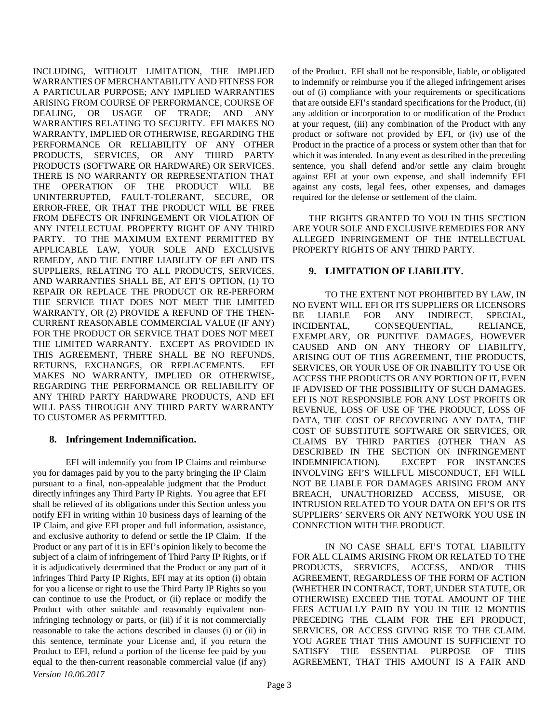INCLUDING, WITHOUT LIMITATION, THE IMPLIED WARRANTIES OF MERCHANTABILITY AND FITNESS FOR A PARTICULAR PURPOSE; ANY IMPLIED WARRANTIES ARISING FROM COURSE OF PERFORMANCE, COURSE OF DEALING, OR USAGE OF TRADE; AND ANY WARRANTIES RELATING TO SECURITY. EFI MAKES NO WARRANTY, IMPLIED OR OTHERWISE, REGARDING THE PERFORMANCE OR RELIABILITY OF ANY OTHER PRODUCTS, SERVICES, OR ANY THIRD PARTY PRODUCTS (SOFTWARE OR HARDWARE) OR SERVICES. THERE IS NO WARRANTY OR REPRESENTATION THAT THE OPERATION OF THE PRODUCT WILL BE UNINTERRUPTED, FAULT-TOLERANT, SECURE, OR ERROR-FREE, OR THAT THE PRODUCT WILL BE FREE FROM DEFECTS OR INFRINGEMENT OR VIOLATION OF ANY INTELLECTUAL PROPERTY RIGHT OF ANY THIRD PARTY. TO THE MAXIMUM EXTENT PERMITTED BY APPLICABLE LAW, YOUR SOLE AND EXCLUSIVE REMEDY, AND THE ENTIRE LIABILITY OF EFI AND ITS SUPPLIERS, RELATING TO ALL PRODUCTS, SERVICES, AND WARRANTIES SHALL BE, AT EFI'S OPTION, (1) TO REPAIR OR REPLACE THE PRODUCT OR RE-PERFORM THE SERVICE THAT DOES NOT MEET THE LIMITED WARRANTY, OR (2) PROVIDE A REFUND OF THE THEN-CURRENT REASONABLE COMMERCIAL VALUE (IF ANY) FOR THE PRODUCT OR SERVICE THAT DOES NOT MEET THE LIMITED WARRANTY. EXCEPT AS PROVIDED IN THIS AGREEMENT, THERE SHALL BE NO REFUNDS, RETURNS, EXCHANGES, OR REPLACEMENTS. EFI MAKES NO WARRANTY, IMPLIED OR OTHERWISE, REGARDING THE PERFORMANCE OR RELIABILITY OF ANY THIRD PARTY HARDWARE PRODUCTS, AND EFI WILL PASS THROUGH ANY THIRD PARTY WARRANTY TO CUSTOMER AS PERMITTED.

# **8. Infringement Indemnification.**

*Version 10.06.2017* EFI will indemnify you from IP Claims and reimburse you for damages paid by you to the party bringing the IP Claim pursuant to a final, non-appealable judgment that the Product directly infringes any Third Party IP Rights. You agree that EFI shall be relieved of its obligations under this Section unless you notify EFI in writing within 10 business days of learning of the IP Claim, and give EFI proper and full information, assistance, and exclusive authority to defend or settle the IP Claim. If the Product or any part of it is in EFI's opinion likely to become the subject of a claim of infringement of Third Party IP Rights, or if it is adjudicatively determined that the Product or any part of it infringes Third Party IP Rights, EFI may at its option (i) obtain for you a license or right to use the Third Party IP Rights so you can continue to use the Product, or (ii) replace or modify the Product with other suitable and reasonably equivalent noninfringing technology or parts, or (iii) if it is not commercially reasonable to take the actions described in clauses (i) or (ii) in this sentence, terminate your License and, if you return the Product to EFI, refund a portion of the license fee paid by you equal to the then-current reasonable commercial value (if any)

of the Product. EFI shall not be responsible, liable, or obligated to indemnify or reimburse you if the alleged infringement arises out of (i) compliance with your requirements or specifications that are outside EFI's standard specifications for the Product, (ii) any addition or incorporation to or modification of the Product at your request, (iii) any combination of the Product with any product or software not provided by EFI, or (iv) use of the Product in the practice of a process or system other than that for which it was intended. In any event as described in the preceding sentence, you shall defend and/or settle any claim brought against EFI at your own expense, and shall indemnify EFI against any costs, legal fees, other expenses, and damages required for the defense or settlement of the claim.

THE RIGHTS GRANTED TO YOU IN THIS SECTION ARE YOUR SOLE AND EXCLUSIVE REMEDIES FOR ANY ALLEGED INFRINGEMENT OF THE INTELLECTUAL PROPERTY RIGHTS OF ANY THIRD PARTY.

# **9. LIMITATION OF LIABILITY.**

TO THE EXTENT NOT PROHIBITED BY LAW, IN NO EVENT WILL EFI OR ITS SUPPLIERS OR LICENSORS BE LIABLE FOR ANY INDIRECT, SPECIAL, INCIDENTAL, CONSEQUENTIAL, RELIANCE, EXEMPLARY, OR PUNITIVE DAMAGES, HOWEVER CAUSED AND ON ANY THEORY OF LIABILITY, ARISING OUT OF THIS AGREEMENT, THE PRODUCTS, SERVICES, OR YOUR USE OF OR INABILITY TO USE OR ACCESS THE PRODUCTS OR ANY PORTION OF IT, EVEN IF ADVISED OF THE POSSIBILITY OF SUCH DAMAGES. EFI IS NOT RESPONSIBLE FOR ANY LOST PROFITS OR REVENUE, LOSS OF USE OF THE PRODUCT, LOSS OF DATA, THE COST OF RECOVERING ANY DATA, THE COST OF SUBSTITUTE SOFTWARE OR SERVICES, OR CLAIMS BY THIRD PARTIES (OTHER THAN AS DESCRIBED IN THE SECTION ON INFRINGEMENT INDEMNIFICATION). EXCEPT FOR INSTANCES INVOLVING EFI'S WILLFUL MISCONDUCT, EFI WILL NOT BE LIABLE FOR DAMAGES ARISING FROM ANY BREACH, UNAUTHORIZED ACCESS, MISUSE, OR INTRUSION RELATED TO YOUR DATA ON EFI'S OR ITS SUPPLIERS' SERVERS OR ANY NETWORK YOU USE IN CONNECTION WITH THE PRODUCT.

IN NO CASE SHALL EFI'S TOTAL LIABILITY FOR ALL CLAIMS ARISING FROM OR RELATED TO THE PRODUCTS, SERVICES, ACCESS, AND/OR THIS AGREEMENT, REGARDLESS OF THE FORM OF ACTION (WHETHER IN CONTRACT, TORT, UNDER STATUTE, OR OTHERWISE) EXCEED THE TOTAL AMOUNT OF THE FEES ACTUALLY PAID BY YOU IN THE 12 MONTHS PRECEDING THE CLAIM FOR THE EFI PRODUCT, SERVICES, OR ACCESS GIVING RISE TO THE CLAIM. YOU AGREE THAT THIS AMOUNT IS SUFFICIENT TO SATISFY THE ESSENTIAL PURPOSE OF THIS AGREEMENT, THAT THIS AMOUNT IS A FAIR AND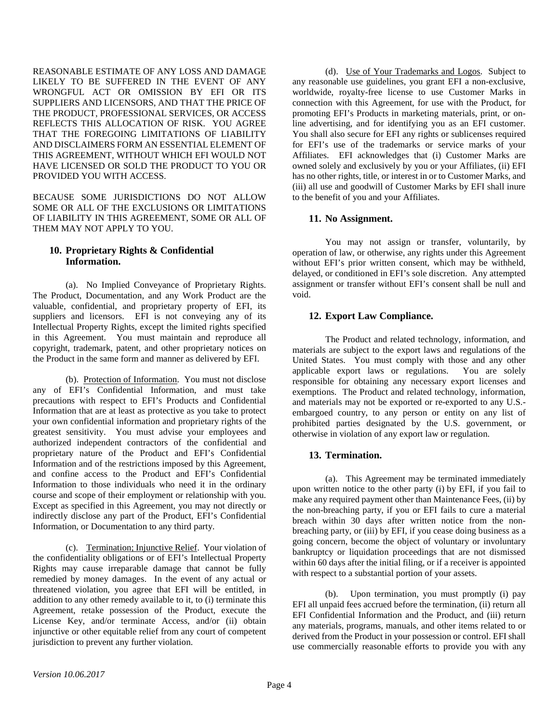REASONABLE ESTIMATE OF ANY LOSS AND DAMAGE LIKELY TO BE SUFFERED IN THE EVENT OF ANY WRONGFUL ACT OR OMISSION BY EFI OR ITS SUPPLIERS AND LICENSORS, AND THAT THE PRICE OF THE PRODUCT, PROFESSIONAL SERVICES, OR ACCESS REFLECTS THIS ALLOCATION OF RISK. YOU AGREE THAT THE FOREGOING LIMITATIONS OF LIABILITY AND DISCLAIMERS FORM AN ESSENTIAL ELEMENT OF THIS AGREEMENT, WITHOUT WHICH EFI WOULD NOT HAVE LICENSED OR SOLD THE PRODUCT TO YOU OR PROVIDED YOU WITH ACCESS.

BECAUSE SOME JURISDICTIONS DO NOT ALLOW SOME OR ALL OF THE EXCLUSIONS OR LIMITATIONS OF LIABILITY IN THIS AGREEMENT, SOME OR ALL OF THEM MAY NOT APPLY TO YOU.

# **10. Proprietary Rights & Confidential Information.**

(a). No Implied Conveyance of Proprietary Rights. The Product, Documentation, and any Work Product are the valuable, confidential, and proprietary property of EFI, its suppliers and licensors. EFI is not conveying any of its Intellectual Property Rights, except the limited rights specified in this Agreement. You must maintain and reproduce all copyright, trademark, patent, and other proprietary notices on the Product in the same form and manner as delivered by EFI.

(b). Protection of Information. You must not disclose any of EFI's Confidential Information, and must take precautions with respect to EFI's Products and Confidential Information that are at least as protective as you take to protect your own confidential information and proprietary rights of the greatest sensitivity. You must advise your employees and authorized independent contractors of the confidential and proprietary nature of the Product and EFI's Confidential Information and of the restrictions imposed by this Agreement, and confine access to the Product and EFI's Confidential Information to those individuals who need it in the ordinary course and scope of their employment or relationship with you. Except as specified in this Agreement, you may not directly or indirectly disclose any part of the Product, EFI's Confidential Information, or Documentation to any third party.

(c). Termination; Injunctive Relief. Your violation of the confidentiality obligations or of EFI's Intellectual Property Rights may cause irreparable damage that cannot be fully remedied by money damages. In the event of any actual or threatened violation, you agree that EFI will be entitled, in addition to any other remedy available to it, to (i) terminate this Agreement, retake possession of the Product, execute the License Key, and/or terminate Access, and/or (ii) obtain injunctive or other equitable relief from any court of competent jurisdiction to prevent any further violation.

(d). Use of Your Trademarks and Logos. Subject to any reasonable use guidelines, you grant EFI a non-exclusive, worldwide, royalty-free license to use Customer Marks in connection with this Agreement, for use with the Product, for promoting EFI's Products in marketing materials, print, or online advertising, and for identifying you as an EFI customer. You shall also secure for EFI any rights or sublicenses required for EFI's use of the trademarks or service marks of your Affiliates. EFI acknowledges that (i) Customer Marks are owned solely and exclusively by you or your Affiliates, (ii) EFI has no other rights, title, or interest in or to Customer Marks, and (iii) all use and goodwill of Customer Marks by EFI shall inure to the benefit of you and your Affiliates.

# **11. No Assignment.**

You may not assign or transfer, voluntarily, by operation of law, or otherwise, any rights under this Agreement without EFI's prior written consent, which may be withheld, delayed, or conditioned in EFI's sole discretion. Any attempted assignment or transfer without EFI's consent shall be null and void.

# **12. Export Law Compliance.**

The Product and related technology, information, and materials are subject to the export laws and regulations of the United States. You must comply with those and any other applicable export laws or regulations. You are solely responsible for obtaining any necessary export licenses and exemptions. The Product and related technology, information, and materials may not be exported or re-exported to any U.S. embargoed country, to any person or entity on any list of prohibited parties designated by the U.S. government, or otherwise in violation of any export law or regulation.

# **13. Termination.**

(a). This Agreement may be terminated immediately upon written notice to the other party (i) by EFI, if you fail to make any required payment other than Maintenance Fees, (ii) by the non-breaching party, if you or EFI fails to cure a material breach within 30 days after written notice from the nonbreaching party, or (iii) by EFI, if you cease doing business as a going concern, become the object of voluntary or involuntary bankruptcy or liquidation proceedings that are not dismissed within 60 days after the initial filing, or if a receiver is appointed with respect to a substantial portion of your assets.

(b). Upon termination, you must promptly (i) pay EFI all unpaid fees accrued before the termination, (ii) return all EFI Confidential Information and the Product, and (iii) return any materials, programs, manuals, and other items related to or derived from the Product in your possession or control. EFI shall use commercially reasonable efforts to provide you with any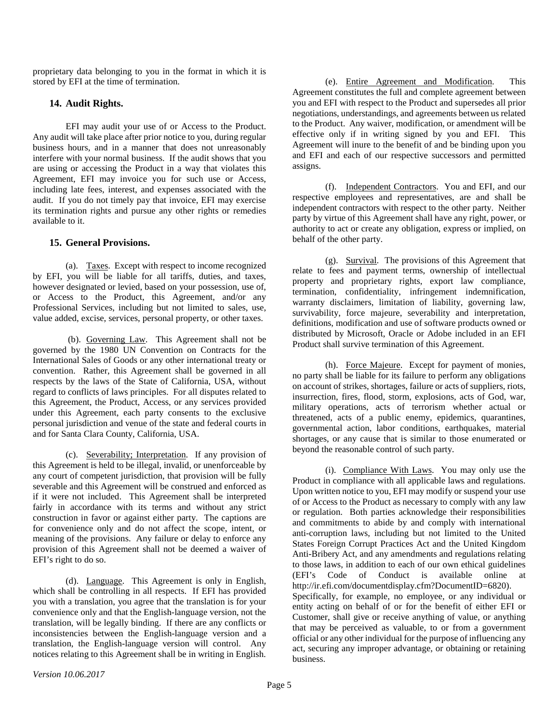proprietary data belonging to you in the format in which it is stored by EFI at the time of termination.

#### **14. Audit Rights.**

EFI may audit your use of or Access to the Product. Any audit will take place after prior notice to you, during regular business hours, and in a manner that does not unreasonably interfere with your normal business. If the audit shows that you are using or accessing the Product in a way that violates this Agreement, EFI may invoice you for such use or Access, including late fees, interest, and expenses associated with the audit. If you do not timely pay that invoice, EFI may exercise its termination rights and pursue any other rights or remedies available to it.

#### **15. General Provisions.**

(a). Taxes. Except with respect to income recognized by EFI, you will be liable for all tariffs, duties, and taxes, however designated or levied, based on your possession, use of, or Access to the Product, this Agreement, and/or any Professional Services, including but not limited to sales, use, value added, excise, services, personal property, or other taxes.

(b). Governing Law. This Agreement shall not be governed by the 1980 UN Convention on Contracts for the International Sales of Goods or any other international treaty or convention. Rather, this Agreement shall be governed in all respects by the laws of the State of California, USA, without regard to conflicts of laws principles. For all disputes related to this Agreement, the Product, Access, or any services provided under this Agreement, each party consents to the exclusive personal jurisdiction and venue of the state and federal courts in and for Santa Clara County, California, USA.

(c). Severability; Interpretation. If any provision of this Agreement is held to be illegal, invalid, or unenforceable by any court of competent jurisdiction, that provision will be fully severable and this Agreement will be construed and enforced as if it were not included. This Agreement shall be interpreted fairly in accordance with its terms and without any strict construction in favor or against either party. The captions are for convenience only and do not affect the scope, intent, or meaning of the provisions. Any failure or delay to enforce any provision of this Agreement shall not be deemed a waiver of EFI's right to do so.

(d). Language. This Agreement is only in English, which shall be controlling in all respects. If EFI has provided you with a translation, you agree that the translation is for your convenience only and that the English-language version, not the translation, will be legally binding. If there are any conflicts or inconsistencies between the English-language version and a translation, the English-language version will control. Any notices relating to this Agreement shall be in writing in English.

(e). Entire Agreement and Modification. This Agreement constitutes the full and complete agreement between you and EFI with respect to the Product and supersedes all prior negotiations, understandings, and agreements between us related to the Product. Any waiver, modification, or amendment will be effective only if in writing signed by you and EFI. This Agreement will inure to the benefit of and be binding upon you and EFI and each of our respective successors and permitted assigns.

(f). Independent Contractors. You and EFI, and our respective employees and representatives, are and shall be independent contractors with respect to the other party. Neither party by virtue of this Agreement shall have any right, power, or authority to act or create any obligation, express or implied, on behalf of the other party.

(g). Survival. The provisions of this Agreement that relate to fees and payment terms, ownership of intellectual property and proprietary rights, export law compliance, termination, confidentiality, infringement indemnification, warranty disclaimers, limitation of liability, governing law, survivability, force majeure, severability and interpretation, definitions, modification and use of software products owned or distributed by Microsoft, Oracle or Adobe included in an EFI Product shall survive termination of this Agreement.

(h). Force Majeure. Except for payment of monies, no party shall be liable for its failure to perform any obligations on account of strikes, shortages, failure or acts of suppliers, riots, insurrection, fires, flood, storm, explosions, acts of God, war, military operations, acts of terrorism whether actual or threatened, acts of a public enemy, epidemics, quarantines, governmental action, labor conditions, earthquakes, material shortages, or any cause that is similar to those enumerated or beyond the reasonable control of such party.

(i). Compliance With Laws. You may only use the Product in compliance with all applicable laws and regulations. Upon written notice to you, EFI may modify or suspend your use of or Access to the Product as necessary to comply with any law or regulation. Both parties acknowledge their responsibilities and commitments to abide by and comply with international anti-corruption laws, including but not limited to the United States Foreign Corrupt Practices Act and the United Kingdom Anti-Bribery Act, and any amendments and regulations relating to those laws, in addition to each of our own ethical guidelines<br>(EFI's Code of Conduct is available online at Code of Conduct is available online at http://ir.efi.com/documentdisplay.cfm?DocumentID=6820). Specifically, for example, no employee, or any individual or entity acting on behalf of or for the benefit of either EFI or Customer, shall give or receive anything of value, or anything that may be perceived as valuable, to or from a government official or any other individual for the purpose of influencing any act, securing any improper advantage, or obtaining or retaining business.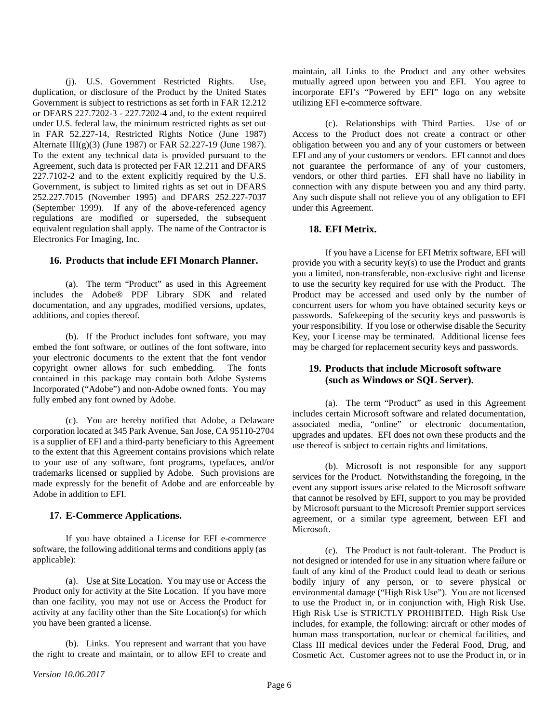(j). U.S. Government Restricted Rights. Use, duplication, or disclosure of the Product by the United States Government is subject to restrictions as set forth in FAR 12.212 or DFARS 227.7202-3 - 227.7202-4 and, to the extent required under U.S. federal law, the minimum restricted rights as set out in FAR 52.227-14, Restricted Rights Notice (June 1987) Alternate III(g)(3) (June 1987) or FAR 52.227-19 (June 1987). To the extent any technical data is provided pursuant to the Agreement, such data is protected per FAR 12.211 and DFARS 227.7102-2 and to the extent explicitly required by the U.S. Government, is subject to limited rights as set out in DFARS 252.227.7015 (November 1995) and DFARS 252.227-7037 (September 1999). If any of the above-referenced agency regulations are modified or superseded, the subsequent equivalent regulation shall apply. The name of the Contractor is Electronics For Imaging, Inc.

#### **16. Products that include EFI Monarch Planner.**

(a). The term "Product" as used in this Agreement includes the Adobe® PDF Library SDK and related documentation, and any upgrades, modified versions, updates, additions, and copies thereof.

(b). If the Product includes font software, you may embed the font software, or outlines of the font software, into your electronic documents to the extent that the font vendor copyright owner allows for such embedding. The fonts contained in this package may contain both Adobe Systems Incorporated ("Adobe") and non-Adobe owned fonts. You may fully embed any font owned by Adobe.

(c). You are hereby notified that Adobe, a Delaware corporation located at 345 Park Avenue, San Jose, CA 95110-2704 is a supplier of EFI and a third-party beneficiary to this Agreement to the extent that this Agreement contains provisions which relate to your use of any software, font programs, typefaces, and/or trademarks licensed or supplied by Adobe. Such provisions are made expressly for the benefit of Adobe and are enforceable by Adobe in addition to EFI.

#### **17. E-Commerce Applications.**

If you have obtained a License for EFI e-commerce software, the following additional terms and conditions apply (as applicable):

(a). Use at Site Location. You may use or Access the Product only for activity at the Site Location. If you have more than one facility, you may not use or Access the Product for activity at any facility other than the Site Location(s) for which you have been granted a license.

(b). Links. You represent and warrant that you have the right to create and maintain, or to allow EFI to create and maintain, all Links to the Product and any other websites mutually agreed upon between you and EFI. You agree to incorporate EFI's "Powered by EFI" logo on any website utilizing EFI e-commerce software.

(c). Relationships with Third Parties. Use of or Access to the Product does not create a contract or other obligation between you and any of your customers or between EFI and any of your customers or vendors. EFI cannot and does not guarantee the performance of any of your customers, vendors, or other third parties. EFI shall have no liability in connection with any dispute between you and any third party. Any such dispute shall not relieve you of any obligation to EFI under this Agreement.

#### **18. EFI Metrix.**

If you have a License for EFI Metrix software, EFI will provide you with a security key(s) to use the Product and grants you a limited, non-transferable, non-exclusive right and license to use the security key required for use with the Product. The Product may be accessed and used only by the number of concurrent users for whom you have obtained security keys or passwords. Safekeeping of the security keys and passwords is your responsibility. If you lose or otherwise disable the Security Key, your License may be terminated. Additional license fees may be charged for replacement security keys and passwords.

#### **19. Products that include Microsoft software (such as Windows or SQL Server).**

(a). The term "Product" as used in this Agreement includes certain Microsoft software and related documentation, associated media, "online" or electronic documentation, upgrades and updates. EFI does not own these products and the use thereof is subject to certain rights and limitations.

(b). Microsoft is not responsible for any support services for the Product. Notwithstanding the foregoing, in the event any support issues arise related to the Microsoft software that cannot be resolved by EFI, support to you may be provided by Microsoft pursuant to the Microsoft Premier support services agreement, or a similar type agreement, between EFI and Microsoft.

(c). The Product is not fault-tolerant. The Product is not designed or intended for use in any situation where failure or fault of any kind of the Product could lead to death or serious bodily injury of any person, or to severe physical or environmental damage ("High Risk Use"). You are not licensed to use the Product in, or in conjunction with, High Risk Use. High Risk Use is STRICTLY PROHIBITED. High Risk Use includes, for example, the following: aircraft or other modes of human mass transportation, nuclear or chemical facilities, and Class III medical devices under the Federal Food, Drug, and Cosmetic Act. Customer agrees not to use the Product in, or in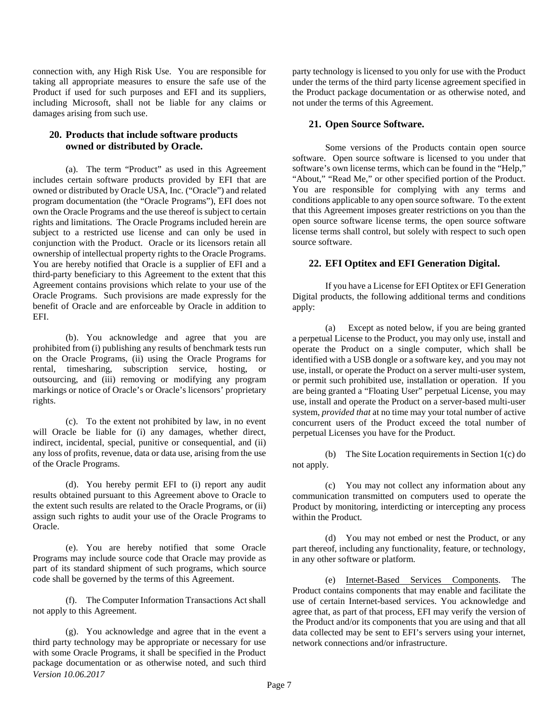connection with, any High Risk Use. You are responsible for taking all appropriate measures to ensure the safe use of the Product if used for such purposes and EFI and its suppliers, including Microsoft, shall not be liable for any claims or damages arising from such use.

#### **20. Products that include software products owned or distributed by Oracle.**

(a). The term "Product" as used in this Agreement includes certain software products provided by EFI that are owned or distributed by Oracle USA, Inc. ("Oracle") and related program documentation (the "Oracle Programs"), EFI does not own the Oracle Programs and the use thereof is subject to certain rights and limitations. The Oracle Programs included herein are subject to a restricted use license and can only be used in conjunction with the Product. Oracle or its licensors retain all ownership of intellectual property rights to the Oracle Programs. You are hereby notified that Oracle is a supplier of EFI and a third-party beneficiary to this Agreement to the extent that this Agreement contains provisions which relate to your use of the Oracle Programs. Such provisions are made expressly for the benefit of Oracle and are enforceable by Oracle in addition to EFI.

(b). You acknowledge and agree that you are prohibited from (i) publishing any results of benchmark tests run on the Oracle Programs, (ii) using the Oracle Programs for rental, timesharing, subscription service, hosting, or outsourcing, and (iii) removing or modifying any program markings or notice of Oracle's or Oracle's licensors' proprietary rights.

(c). To the extent not prohibited by law, in no event will Oracle be liable for (i) any damages, whether direct, indirect, incidental, special, punitive or consequential, and (ii) any loss of profits, revenue, data or data use, arising from the use of the Oracle Programs.

(d). You hereby permit EFI to (i) report any audit results obtained pursuant to this Agreement above to Oracle to the extent such results are related to the Oracle Programs, or (ii) assign such rights to audit your use of the Oracle Programs to Oracle.

(e). You are hereby notified that some Oracle Programs may include source code that Oracle may provide as part of its standard shipment of such programs, which source code shall be governed by the terms of this Agreement.

(f). The Computer Information Transactions Act shall not apply to this Agreement.

*Version 10.06.2017* (g). You acknowledge and agree that in the event a third party technology may be appropriate or necessary for use with some Oracle Programs, it shall be specified in the Product package documentation or as otherwise noted, and such third party technology is licensed to you only for use with the Product under the terms of the third party license agreement specified in the Product package documentation or as otherwise noted, and not under the terms of this Agreement.

#### **21. Open Source Software.**

Some versions of the Products contain open source software. Open source software is licensed to you under that software's own license terms, which can be found in the "Help," "About," "Read Me," or other specified portion of the Product. You are responsible for complying with any terms and conditions applicable to any open source software. To the extent that this Agreement imposes greater restrictions on you than the open source software license terms, the open source software license terms shall control, but solely with respect to such open source software.

# **22. EFI Optitex and EFI Generation Digital.**

If you have a License for EFI Optitex or EFI Generation Digital products, the following additional terms and conditions apply:

(a) Except as noted below, if you are being granted a perpetual License to the Product, you may only use, install and operate the Product on a single computer, which shall be identified with a USB dongle or a software key, and you may not use, install, or operate the Product on a server multi-user system, or permit such prohibited use, installation or operation. If you are being granted a "Floating User" perpetual License, you may use, install and operate the Product on a server-based multi-user system, *provided that* at no time may your total number of active concurrent users of the Product exceed the total number of perpetual Licenses you have for the Product.

(b) The Site Location requirements in Section 1(c) do not apply.

(c) You may not collect any information about any communication transmitted on computers used to operate the Product by monitoring, interdicting or intercepting any process within the Product.

(d) You may not embed or nest the Product, or any part thereof, including any functionality, feature, or technology, in any other software or platform.

(e) Internet-Based Services Components. The Product contains components that may enable and facilitate the use of certain Internet-based services. You acknowledge and agree that, as part of that process, EFI may verify the version of the Product and/or its components that you are using and that all data collected may be sent to EFI's servers using your internet, network connections and/or infrastructure.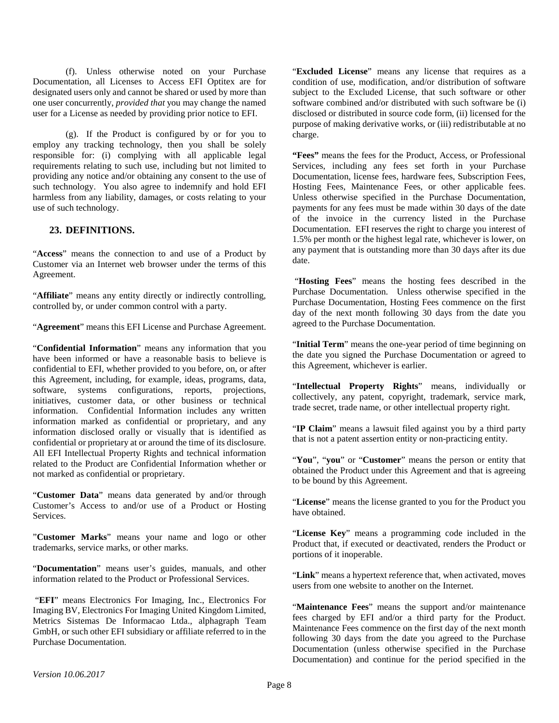(f). Unless otherwise noted on your Purchase Documentation, all Licenses to Access EFI Optitex are for designated users only and cannot be shared or used by more than one user concurrently, *provided that* you may change the named user for a License as needed by providing prior notice to EFI.

(g). If the Product is configured by or for you to employ any tracking technology, then you shall be solely responsible for: (i) complying with all applicable legal requirements relating to such use, including but not limited to providing any notice and/or obtaining any consent to the use of such technology. You also agree to indemnify and hold EFI harmless from any liability, damages, or costs relating to your use of such technology.

#### **23. DEFINITIONS.**

"**Access**" means the connection to and use of a Product by Customer via an Internet web browser under the terms of this Agreement.

"Affiliate" means any entity directly or indirectly controlling, controlled by, or under common control with a party.

"**Agreement**" means this EFI License and Purchase Agreement.

"**Confidential Information**" means any information that you have been informed or have a reasonable basis to believe is confidential to EFI, whether provided to you before, on, or after this Agreement, including, for example, ideas, programs, data, software, systems configurations, reports, projections, initiatives, customer data, or other business or technical information. Confidential Information includes any written information marked as confidential or proprietary, and any information disclosed orally or visually that is identified as confidential or proprietary at or around the time of its disclosure. All EFI Intellectual Property Rights and technical information related to the Product are Confidential Information whether or not marked as confidential or proprietary.

"**Customer Data**" means data generated by and/or through Customer's Access to and/or use of a Product or Hosting Services.

"**Customer Marks**" means your name and logo or other trademarks, service marks, or other marks.

"**Documentation**" means user's guides, manuals, and other information related to the Product or Professional Services.

"**EFI**" means Electronics For Imaging, Inc., Electronics For Imaging BV, Electronics For Imaging United Kingdom Limited, Metrics Sistemas De Informacao Ltda., alphagraph Team GmbH, or such other EFI subsidiary or affiliate referred to in the Purchase Documentation.

"**Excluded License**" means any license that requires as a condition of use, modification, and/or distribution of software subject to the Excluded License, that such software or other software combined and/or distributed with such software be (i) disclosed or distributed in source code form, (ii) licensed for the purpose of making derivative works, or (iii) redistributable at no charge.

**"Fees"** means the fees for the Product, Access, or Professional Services, including any fees set forth in your Purchase Documentation, license fees, hardware fees, Subscription Fees, Hosting Fees, Maintenance Fees, or other applicable fees. Unless otherwise specified in the Purchase Documentation, payments for any fees must be made within 30 days of the date of the invoice in the currency listed in the Purchase Documentation. EFI reserves the right to charge you interest of 1.5% per month or the highest legal rate, whichever is lower, on any payment that is outstanding more than 30 days after its due date.

"**Hosting Fees**" means the hosting fees described in the Purchase Documentation. Unless otherwise specified in the Purchase Documentation, Hosting Fees commence on the first day of the next month following 30 days from the date you agreed to the Purchase Documentation.

"**Initial Term**" means the one-year period of time beginning on the date you signed the Purchase Documentation or agreed to this Agreement, whichever is earlier.

"**Intellectual Property Rights**" means, individually or collectively, any patent, copyright, trademark, service mark, trade secret, trade name, or other intellectual property right.

"**IP Claim**" means a lawsuit filed against you by a third party that is not a patent assertion entity or non-practicing entity.

"**You**", "**you**" or "**Customer**" means the person or entity that obtained the Product under this Agreement and that is agreeing to be bound by this Agreement.

"**License**" means the license granted to you for the Product you have obtained.

"**License Key**" means a programming code included in the Product that, if executed or deactivated, renders the Product or portions of it inoperable.

"**Link**" means a hypertext reference that, when activated, moves users from one website to another on the Internet.

"**Maintenance Fees**" means the support and/or maintenance fees charged by EFI and/or a third party for the Product. Maintenance Fees commence on the first day of the next month following 30 days from the date you agreed to the Purchase Documentation (unless otherwise specified in the Purchase Documentation) and continue for the period specified in the